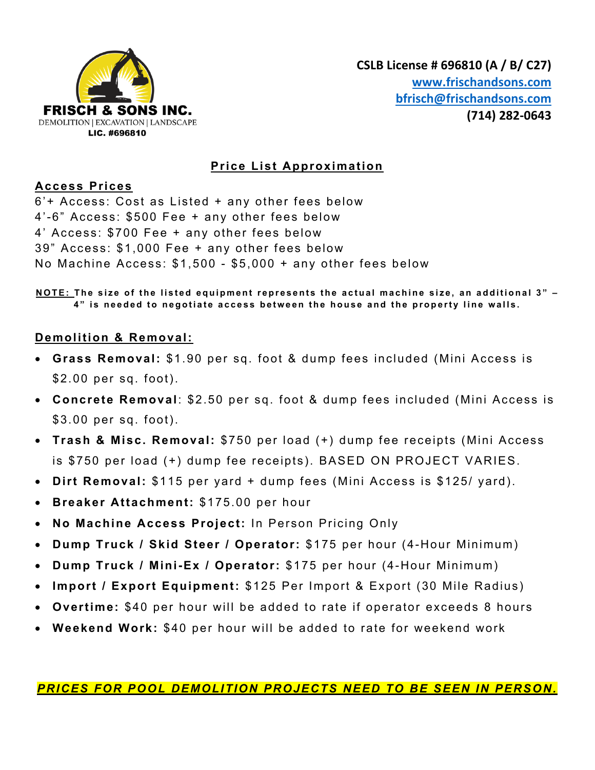

# **Price List Approximation**

## **Access Prices**

6'+ Access: Cost as Listed + any other fees below 4'-6" Access: \$500 Fee + any other fees below 4' Access: \$700 Fee + any other fees below 39" Access: \$1,000 Fee + any other fees below No Machine Access: \$1,500 - \$5,000 + any other fees below

**NOTE: The size of the listed equipment represents the actual machine size, an additional 3" – 4 " is needed to negotiate access between the house and the property line walls.**

# **Demolition & Removal:**

- **Grass Removal:** \$1.90 per sq. foot & dump fees included (Mini Access is \$2.00 per sq. foot).
- **Concrete Removal**: \$2.50 per sq. foot & dump fees included (Mini Access is \$3.00 per sq. foot).
- **Trash & Misc. Removal:** \$750 per load (+) dump fee receipts (Mini Access is \$750 per load (+) dump fee receipts). BASED ON PROJECT VARIES.
- **Dirt Removal:** \$115 per yard + dump fees (Mini Access is \$125/ yard).
- **Breaker Attachment:** \$175.00 per hour
- **No Machine Access Project:** In Person Pricing Only
- **Dump Truck / Skid Steer / Operator:** \$175 per hour (4-Hour Minimum)
- **Dump Truck / Mini-Ex / Operator:** \$175 per hour (4-Hour Minimum)
- **Import / Export Equipment:** \$125 Per Import & Export (30 Mile Radius)
- **Overtime:** \$40 per hour will be added to rate if operator exceeds 8 hours
- **Weekend Work:** \$40 per hour will be added to rate for weekend work

*PRICES FOR POOL DEMOLITION PROJECTS NEED TO BE SEEN IN PERSON.*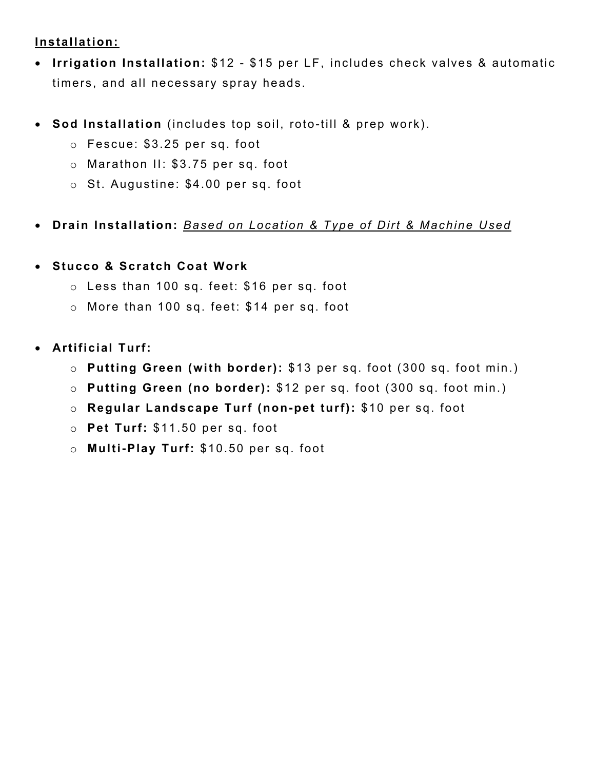# **Installation:**

- **Irrigation Installation:** \$12 \$15 per LF, includes check valves & automatic timers, and all necessary spray heads.
- **Sod Installation** (includes top soil, roto-till & prep work).
	- o Fescue: \$3.25 per sq. foot
	- o Marathon II: \$3.75 per sq. foot
	- o St. Augustine: \$4.00 per sq. foot
- **Drain Installation:** *Based on Location & Type of Dirt & Machine Used*
- **Stucco & Scratch Coat Work**
	- o Less than 100 sq. feet: \$16 per sq. foot
	- o More than 100 sq. feet: \$14 per sq. foot
- **Artificial Turf:** 
	- o **Putting Green (with border):** \$13 per sq. foot (300 sq. foot min.)
	- o **Putting Green (no border):** \$12 per sq. foot (300 sq. foot min.)
	- o **Regular Landscape Turf (non-pet turf):** \$10 per sq. foot
	- o **Pet Turf:** \$11.50 per sq. foot
	- o **Multi-Play Turf:** \$10.50 per sq. foot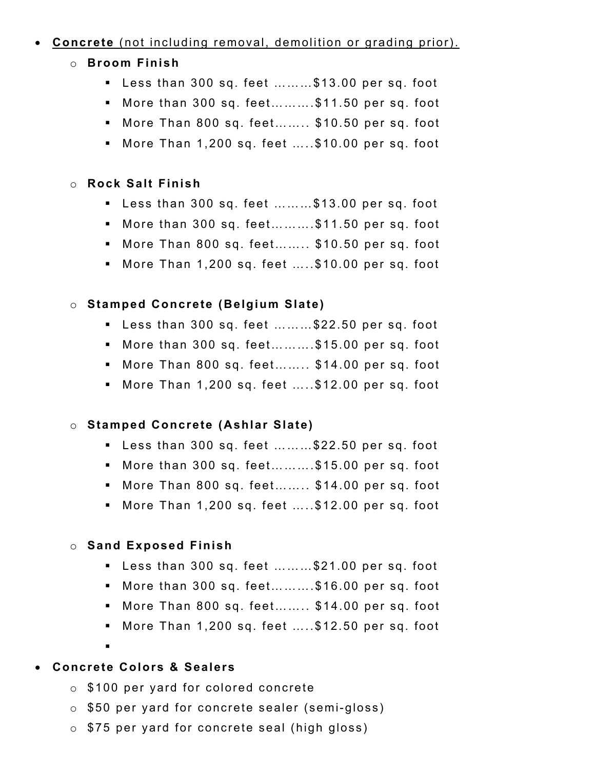## • **Concrete** (not including removal, demolition or grading prior).

- o **Broom Finish** 
	- § Less than 300 sq. feet ………\$13.00 per sq. foot
	- § More than 300 sq. feet……….\$11.50 per sq. foot
	- § More Than 800 sq. feet…….. \$10.50 per sq. foot
	- § More Than 1,200 sq. feet …..\$10.00 per sq. foot

#### o **Rock Salt Finish**

- § Less than 300 sq. feet ………\$13.00 per sq. foot
- § More than 300 sq. feet……….\$11.50 per sq. foot
- § More Than 800 sq. feet…….. \$10.50 per sq. foot
- § More Than 1,200 sq. feet …..\$10.00 per sq. foot

## o **Stamped Concrete (Belgium Slate)**

- § Less than 300 sq. feet ………\$22.50 per sq. foot
- § More than 300 sq. feet……….\$15.00 per sq. foot
- § More Than 800 sq. feet…….. \$14.00 per sq. foot
- § More Than 1,200 sq. feet …..\$12.00 per sq. foot

#### o **Stamped Concrete (Ashlar Slate)**

- § Less than 300 sq. feet ………\$22.50 per sq. foot
- § More than 300 sq. feet……….\$15.00 per sq. foot
- § More Than 800 sq. feet…….. \$14.00 per sq. foot
- § More Than 1,200 sq. feet …..\$12.00 per sq. foot

#### o **Sand Exposed Finish**

- § Less than 300 sq. feet ………\$21.00 per sq. foot
- § More than 300 sq. feet……….\$16.00 per sq. foot
- § More Than 800 sq. feet…….. \$14.00 per sq. foot
- § More Than 1,200 sq. feet …..\$12.50 per sq. foot
- § • **Concrete Colors & Sealers**
- - o \$100 per yard for colored concrete
	- o \$50 per yard for concrete sealer (semi-gloss)
	- o \$75 per yard for concrete seal (high gloss)